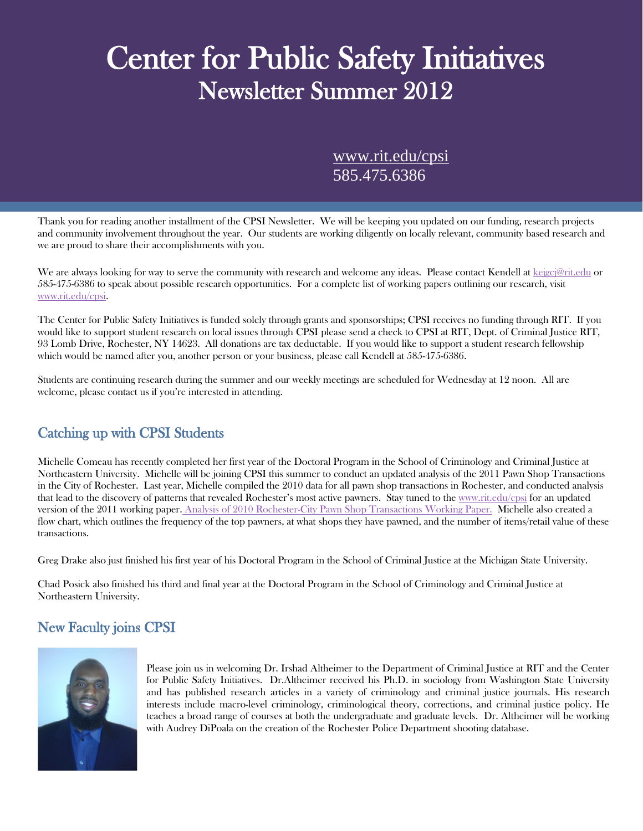# Center for Public Safety Initiatives<br>Newsletter Summer 2012

[www.rit.edu/cpsi](http://www.rit.edu/cpsi) 585.475.6386

Thank you for reading another installment of the CPSI Newsletter. We will be keeping you updated on our funding, research projects and community involvement throughout the year. Our students are working diligently on locally relevant, community based research and we are proud to share their accomplishments with you.

We are always looking for way to serve the community with research and welcome any ideas. Please contact Kendell at [kejgcj@rit.edu](mailto:kejgcj@rit.edu) or 585-475-6386 to speak about possible research opportunities. For a complete list of working papers outlining our research, visit [www.rit.edu/cpsi.](http://www.rit.edu/cpsi)

The Center for Public Safety Initiatives is funded solely through grants and sponsorships; CPSI receives no funding through RIT. If you would like to support student research on local issues through CPSI please send a check to CPSI at RIT, Dept. of Criminal Justice RIT, 93 Lomb Drive, Rochester, NY 14623. All donations are tax deductable. If you would like to support a student research fellowship which would be named after you, another person or your business, please call Kendell at 585-475-6386.

Students are continuing research during the summer and our weekly meetings are scheduled for Wednesday at 12 noon. All are welcome, please contact us if you're interested in attending.

## Catching up with CPSI Students

Michelle Comeau has recently completed her first year of the Doctoral Program in the School of Criminology and Criminal Justice at Northeastern University. Michelle will be joining CPSI this summer to conduct an updated analysis of the 2011 Pawn Shop Transactions in the City of Rochester. Last year, Michelle compiled the 2010 data for all pawn shop transactions in Rochester, and conducted analysis that lead to the discovery of patterns that revealed Rochester's most active pawners. Stay tuned to the [www.rit.edu/cpsi](http://www.rit.edu/cpsi) for an updated version of the 2011 working paper. [Analysis of 2010 Rochester-City Pawn Shop Transactions Working Paper.](http://www.rit.edu/cla/cpsi/WorkingPapers/2011/2011-03.pdf) Michelle also created a flow chart, which outlines the frequency of the top pawners, at what shops they have pawned, and the number of items/retail value of these transactions.

Greg Drake also just finished his first year of his Doctoral Program in the School of Criminal Justice at the Michigan State University.

Chad Posick also finished his third and final year at the Doctoral Program in the School of Criminology and Criminal Justice at Northeastern University.

## New Faculty joins CPSI



Please join us in welcoming Dr. Irshad Altheimer to the Department of Criminal Justice at RIT and the Center for Public Safety Initiatives. Dr.Altheimer received his Ph.D. in sociology from Washington State University and has published research articles in a variety of criminology and criminal justice journals. His research interests include macro-level criminology, criminological theory, corrections, and criminal justice policy. He teaches a broad range of courses at both the undergraduate and graduate levels. Dr. Altheimer will be working with Audrey DiPoala on the creation of the Rochester Police Department shooting database.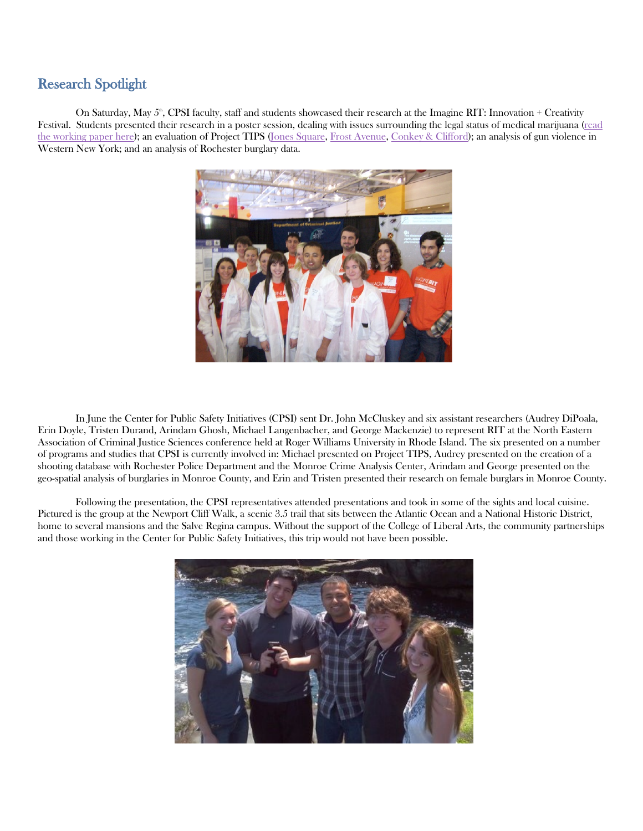## Research Spotlight

On Saturday, May  $5^{\circ}$ , CPSI faculty, staff and students showcased their research at the Imagine RIT: Innovation + Creativity Festival. Students presented their research in a poster session, dealing with issues surrounding the legal status of medical marijuana [\(read](http://www.rit.edu/cla/cpsi/WorkingPapers/2012/2012-01.pdf)  [the working paper here\)](http://www.rit.edu/cla/cpsi/WorkingPapers/2012/2012-01.pdf); an evaluation of Project TIPS [\(Jones Square,](http://www.rit.edu/cla/cpsi/WorkingPapers/2012/2012-03.pdf) [Frost Avenue,](http://www.rit.edu/cla/cpsi/WorkingPapers/2012/2012-04.pdf) [Conkey & Clifford\)](http://www.rit.edu/cla/cpsi/WorkingPapers/2012/2012-05.pdf); an analysis of gun violence in Western New York; and an analysis of Rochester burglary data.



In June the Center for Public Safety Initiatives (CPSI) sent Dr. John McCluskey and six assistant researchers (Audrey DiPoala, Erin Doyle, Tristen Durand, Arindam Ghosh, Michael Langenbacher, and George Mackenzie) to represent RIT at the North Eastern Association of Criminal Justice Sciences conference held at Roger Williams University in Rhode Island. The six presented on a number of programs and studies that CPSI is currently involved in: Michael presented on Project TIPS, Audrey presented on the creation of a shooting database with Rochester Police Department and the Monroe Crime Analysis Center, Arindam and George presented on the geo-spatial analysis of burglaries in Monroe County, and Erin and Tristen presented their research on female burglars in Monroe County.

Following the presentation, the CPSI representatives attended presentations and took in some of the sights and local cuisine. Pictured is the group at the Newport Cliff Walk, a scenic 3.5 trail that sits between the Atlantic Ocean and a National Historic District, home to several mansions and the Salve Regina campus. Without the support of the College of Liberal Arts, the community partnerships and those working in the Center for Public Safety Initiatives, this trip would not have been possible.